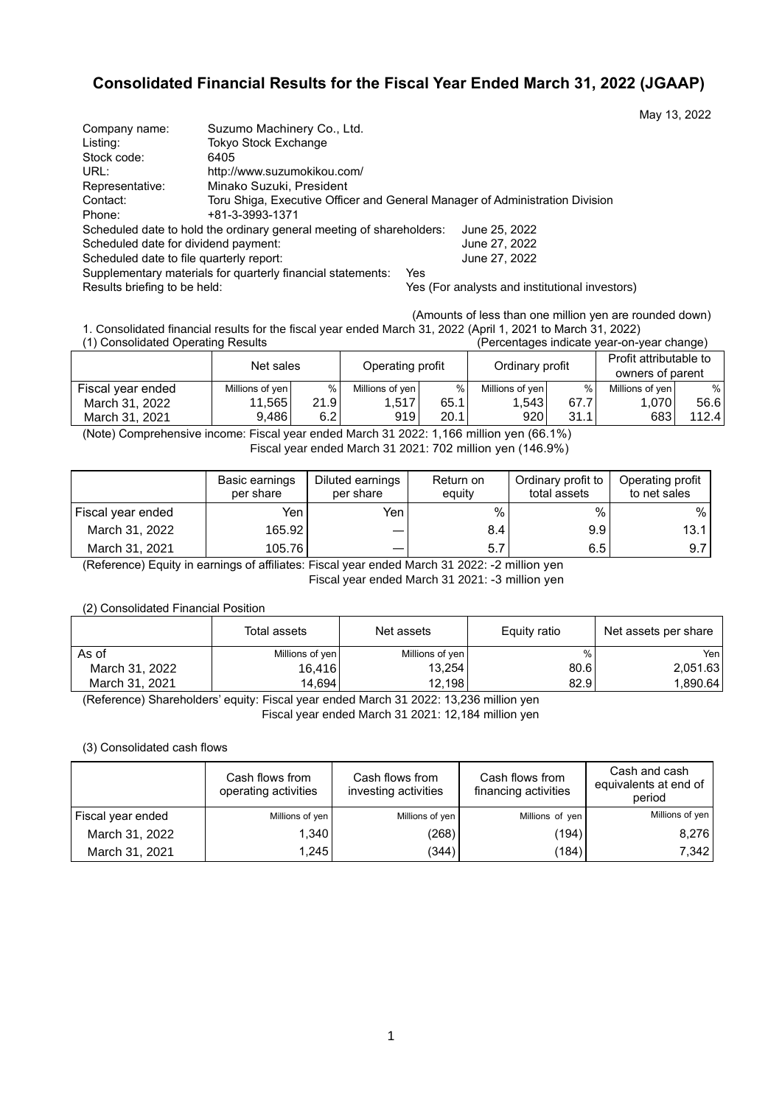# **Consolidated Financial Results for the Fiscal Year Ended March 31, 2022 (JGAAP)**

| Company name:                            | Suzumo Machinery Co., Ltd.                                                   |               |
|------------------------------------------|------------------------------------------------------------------------------|---------------|
| Listing:                                 | Tokyo Stock Exchange                                                         |               |
| Stock code:                              | 6405                                                                         |               |
| URL:                                     | http://www.suzumokikou.com/                                                  |               |
| Representative:                          | Minako Suzuki, President                                                     |               |
| Contact:                                 | Toru Shiga, Executive Officer and General Manager of Administration Division |               |
| Phone:                                   | +81-3-3993-1371                                                              |               |
|                                          | Scheduled date to hold the ordinary general meeting of shareholders:         | June 25, 2022 |
| Scheduled date for dividend payment:     |                                                                              | June 27, 2022 |
| Scheduled date to file quarterly report: |                                                                              | June 27, 2022 |
|                                          | Supplementary materials for quarterly financial statements:<br>Yes           |               |

Results briefing to be held: Yes (For analysts and institutional investors)

(Amounts of less than one million yen are rounded down)

May 13, 2022

1. Consolidated financial results for the fiscal year ended March 31, 2022 (April 1, 2021 to March 31, 2022) (Percentages indicate year-on-year change)

|                   |                 | Operating profit<br>Net sales |                 | Ordinary profit |                 | Profit attributable to<br>owners of parent |                 |       |
|-------------------|-----------------|-------------------------------|-----------------|-----------------|-----------------|--------------------------------------------|-----------------|-------|
| Fiscal year ended | Millions of yen | %                             | Millions of yen | $\%$            | Millions of yen | %                                          | Millions of ven | %     |
| March 31, 2022    | 11.565          | 21.91                         | 1.517           | 65.1            | 1.543           | 67.7                                       | 1.070           | 56.6  |
| March 31, 2021    | 9.486           | 6.21                          | 919             | 20.1            | 920             | 31.1                                       | 683             | 112.4 |

(Note) Comprehensive income: Fiscal year ended March 31 2022: 1,166 million yen (66.1%) Fiscal year ended March 31 2021: 702 million yen (146.9%)

|                   | Basic earnings<br>per share | Diluted earnings<br>per share | Return on<br>equity | Ordinary profit to<br>total assets | Operating profit<br>to net sales |
|-------------------|-----------------------------|-------------------------------|---------------------|------------------------------------|----------------------------------|
| Fiscal year ended | Yen i                       | Yen                           | %                   | %                                  | %                                |
| March 31, 2022    | 165.92                      | $\overline{\phantom{m}}$      | 8.4                 | 9.9 <sub>1</sub>                   | 13.1                             |
| March 31, 2021    | 105.76                      |                               | 5.7                 | 6.5                                | 9.7                              |

(Reference) Equity in earnings of affiliates: Fiscal year ended March 31 2022: -2 million yen Fiscal year ended March 31 2021: -3 million yen

## (2) Consolidated Financial Position

|                | Total assets    | Net assets      | Equity ratio  | Net assets per share |
|----------------|-----------------|-----------------|---------------|----------------------|
| As of          | Millions of yen | Millions of yen | $\frac{9}{6}$ | Yenl                 |
| March 31, 2022 | 16.416          | 13.254          | 80.6          | 2,051.63             |
| March 31, 2021 | 14.694          | 12.198          | 82.9          | 1.890.64             |

(Reference) Shareholders' equity: Fiscal year ended March 31 2022: 13,236 million yen

Fiscal year ended March 31 2021: 12,184 million yen

### (3) Consolidated cash flows

|                   | Cash flows from<br>operating activities | Cash flows from<br>investing activities | Cash flows from<br>financing activities | Cash and cash<br>equivalents at end of<br>period |
|-------------------|-----------------------------------------|-----------------------------------------|-----------------------------------------|--------------------------------------------------|
| Fiscal year ended | Millions of yen                         | Millions of yen                         | Millions of yen                         | Millions of yen                                  |
| March 31, 2022    | 1,340                                   | (268)                                   | (194)                                   | 8,276                                            |
| March 31, 2021    | 1.245                                   | (344)                                   | (184)                                   | 7.342                                            |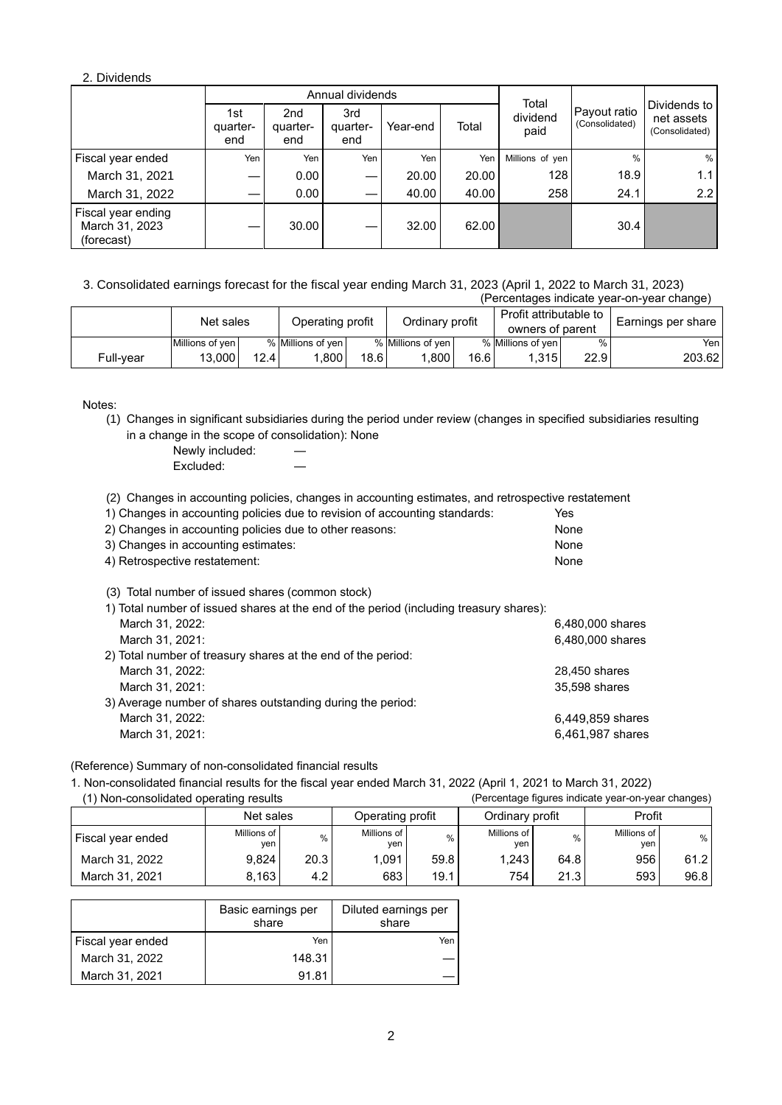## 2. Dividends

|                                                    |                        | Annual dividends       | Total                  |          |       |                  |                                |                                              |
|----------------------------------------------------|------------------------|------------------------|------------------------|----------|-------|------------------|--------------------------------|----------------------------------------------|
|                                                    | 1st<br>quarter-<br>end | 2nd<br>quarter-<br>end | 3rd<br>quarter-<br>end | Year-end | Total | dividend<br>paid | Payout ratio<br>(Consolidated) | Dividends to<br>net assets<br>(Consolidated) |
| Fiscal year ended                                  | Yen                    | Yen                    | Yen                    | Yen      | Yen   | Millions of yen  | $\%$                           | %                                            |
| March 31, 2021                                     |                        | 0.00                   | –                      | 20.00    | 20.00 | 128              | 18.9                           | 1.1                                          |
| March 31, 2022                                     |                        | 0.00                   | –                      | 40.00    | 40.00 | 258              | 24.1                           | 2.2                                          |
| Fiscal year ending<br>March 31, 2023<br>(forecast) |                        | 30.00                  |                        | 32.00    | 62.00 |                  | 30.4                           |                                              |

3. Consolidated earnings forecast for the fiscal year ending March 31, 2023 (April 1, 2022 to March 31, 2023) (Percentages indicate year-on-year change)

| $\mu$ or contraged indicate your only our change. |                 |      |                   |      |                   |      |                        |      |                    |  |
|---------------------------------------------------|-----------------|------|-------------------|------|-------------------|------|------------------------|------|--------------------|--|
|                                                   | Net sales       |      | Operating profit  |      | Ordinary profit   |      | Profit attributable to |      | Earnings per share |  |
|                                                   |                 |      |                   |      |                   |      | owners of parent       |      |                    |  |
|                                                   | Millions of yen |      | % Millions of yen |      | % Millions of yen |      | % Millions of yen      | $\%$ | Yen                |  |
| Full-vear                                         | 13.000          | 12.4 | .800 <sub>1</sub> | 18.6 | .800              | 16.6 | 1.315                  | 22.9 | 203.62             |  |

Notes:

(1) Changes in significant subsidiaries during the period under review (changes in specified subsidiaries resulting in a change in the scope of consolidation): None

Newly included: Excluded:

(2) Changes in accounting policies, changes in accounting estimates, and retrospective restatement

| 1) Changes in accounting policies due to revision of accounting standards: | Yes  |
|----------------------------------------------------------------------------|------|
| 2) Changes in accounting policies due to other reasons:                    | None |
| 3) Changes in accounting estimates:                                        | None |
| 4) Retrospective restatement:                                              | None |
|                                                                            |      |

(3) Total number of issued shares (common stock)

| 1) Total number of issued shares at the end of the period (including treasury shares): |                  |
|----------------------------------------------------------------------------------------|------------------|
| March 31, 2022:                                                                        | 6,480,000 shares |
| March 31, 2021:                                                                        | 6,480,000 shares |
| 2) Total number of treasury shares at the end of the period:                           |                  |
| March 31, 2022:                                                                        | 28,450 shares    |
| March 31, 2021:                                                                        | 35,598 shares    |
| 3) Average number of shares outstanding during the period:                             |                  |
| March 31, 2022:                                                                        | 6,449,859 shares |
| March 31, 2021:                                                                        | 6,461,987 shares |

(Reference) Summary of non-consolidated financial results

1. Non-consolidated financial results for the fiscal year ended March 31, 2022 (April 1, 2021 to March 31, 2022) (Percentage figures indicate year-on-year changes)

|                   |                    |               |                    |      |                    |      |                    | ີ    |
|-------------------|--------------------|---------------|--------------------|------|--------------------|------|--------------------|------|
|                   | Net sales          |               | Operating profit   |      | Ordinary profit    |      | Profit             |      |
| Fiscal year ended | Millions of<br>ven | $\frac{0}{0}$ | Millions of<br>yen | %    | Millions of<br>ven | $\%$ | Millions of<br>ven | %    |
| March 31, 2022    | 9.824              | 20.3          | 1.091              | 59.8 | 1.243              | 64.8 | 956                | 61.2 |
| March 31, 2021    | 8,163              | 4.2           | 683                | 19.1 | 754                | 21.3 | 593                | 96.8 |

|                   | Basic earnings per<br>share | Diluted earnings per<br>share |  |
|-------------------|-----------------------------|-------------------------------|--|
| Fiscal year ended | Yen                         | Yen                           |  |
| March 31, 2022    | 148.31                      |                               |  |
| March 31, 2021    | 91.81                       |                               |  |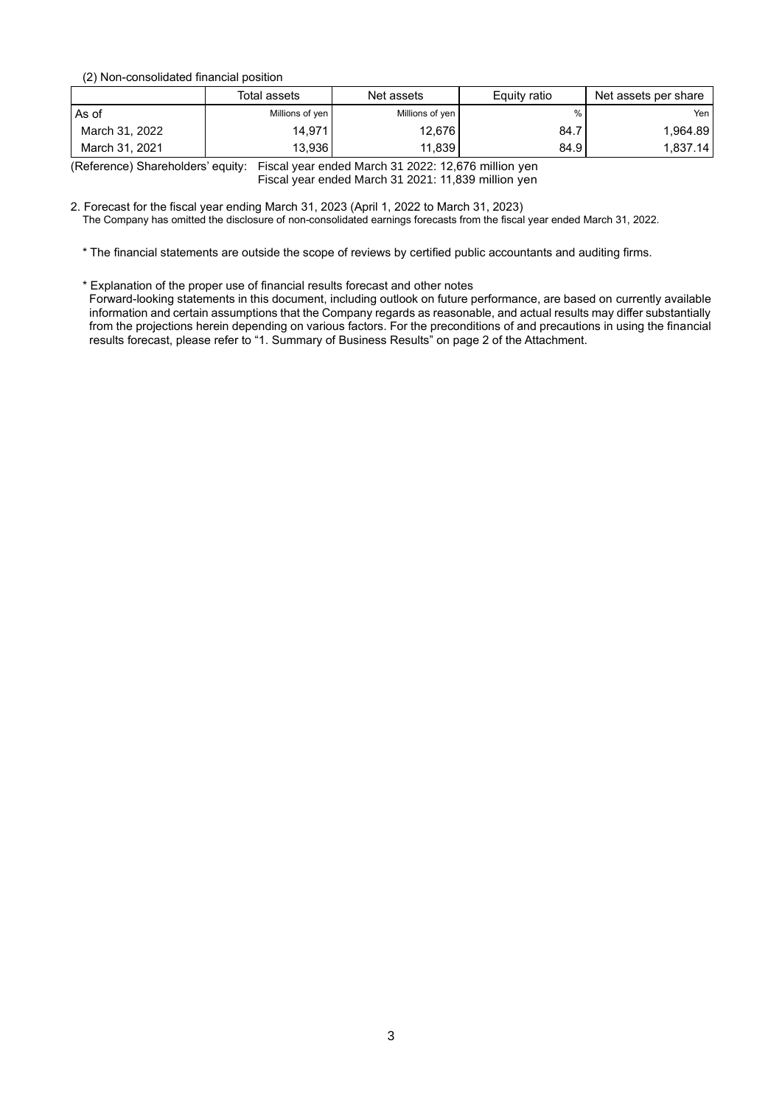(2) Non-consolidated financial position

|                | Total assets    | Net assets      | Equity ratio | Net assets per share |
|----------------|-----------------|-----------------|--------------|----------------------|
| As of          | Millions of yen | Millions of yen |              | Yen I                |
| March 31, 2022 | 14,971          | 12.676          | 84.7         | 1,964.89             |
| March 31, 2021 | 13.936          | 11.839          | 84.9         | 1,837.14             |

(Reference) Shareholders' equity: Fiscal year ended March 31 2022: 12,676 million yen Fiscal year ended March 31 2021: 11,839 million yen

2. Forecast for the fiscal year ending March 31, 2023 (April 1, 2022 to March 31, 2023)

The Company has omitted the disclosure of non-consolidated earnings forecasts from the fiscal year ended March 31, 2022.

\* The financial statements are outside the scope of reviews by certified public accountants and auditing firms.

\* Explanation of the proper use of financial results forecast and other notes

Forward-looking statements in this document, including outlook on future performance, are based on currently available information and certain assumptions that the Company regards as reasonable, and actual results may differ substantially from the projections herein depending on various factors. For the preconditions of and precautions in using the financial results forecast, please refer to "1. Summary of Business Results" on page 2 of the Attachment.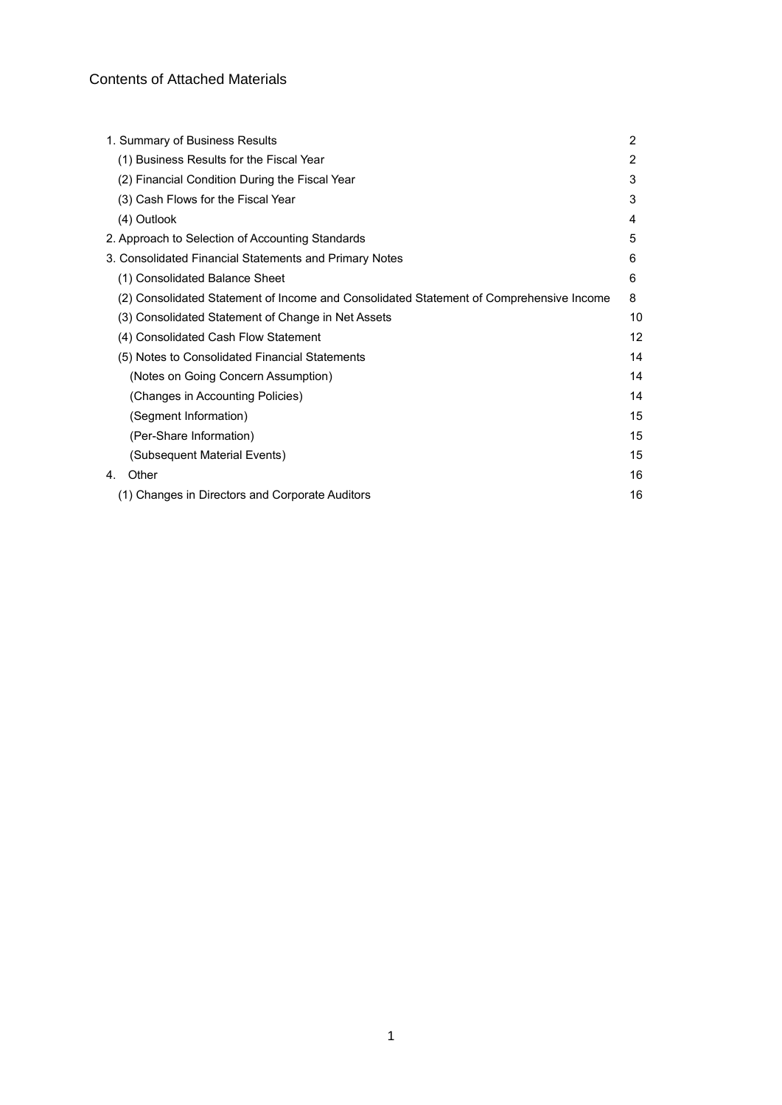# Contents of Attached Materials

| 2             |
|---------------|
| $\mathcal{P}$ |
| 3             |
| 3             |
| 4             |
| 5             |
| 6             |
| 6             |
| 8             |
| 10            |
| 12            |
| 14            |
| 14            |
| 14            |
| 15            |
| 15            |
| 15            |
| 16            |
| 16            |
|               |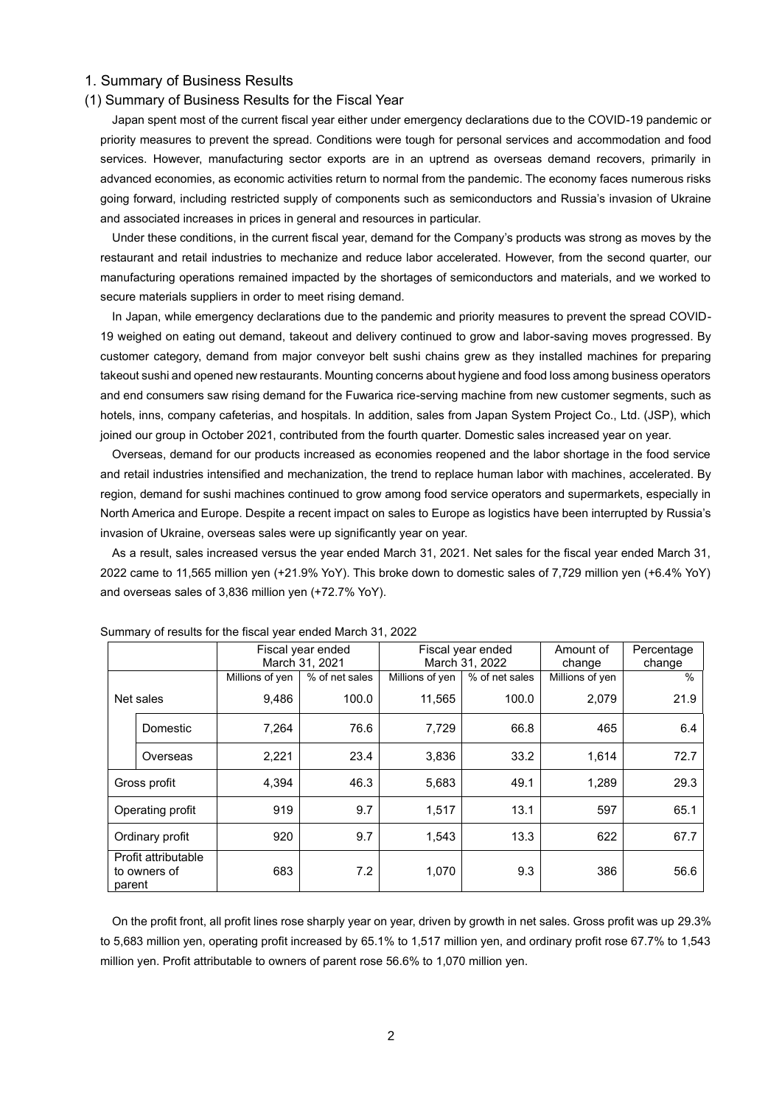### 1. Summary of Business Results

## (1) Summary of Business Results for the Fiscal Year

Japan spent most of the current fiscal year either under emergency declarations due to the COVID-19 pandemic or priority measures to prevent the spread. Conditions were tough for personal services and accommodation and food services. However, manufacturing sector exports are in an uptrend as overseas demand recovers, primarily in advanced economies, as economic activities return to normal from the pandemic. The economy faces numerous risks going forward, including restricted supply of components such as semiconductors and Russia's invasion of Ukraine and associated increases in prices in general and resources in particular.

Under these conditions, in the current fiscal year, demand for the Company's products was strong as moves by the restaurant and retail industries to mechanize and reduce labor accelerated. However, from the second quarter, our manufacturing operations remained impacted by the shortages of semiconductors and materials, and we worked to secure materials suppliers in order to meet rising demand.

In Japan, while emergency declarations due to the pandemic and priority measures to prevent the spread COVID-19 weighed on eating out demand, takeout and delivery continued to grow and labor-saving moves progressed. By customer category, demand from major conveyor belt sushi chains grew as they installed machines for preparing takeout sushi and opened new restaurants. Mounting concerns about hygiene and food loss among business operators and end consumers saw rising demand for the Fuwarica rice-serving machine from new customer segments, such as hotels, inns, company cafeterias, and hospitals. In addition, sales from Japan System Project Co., Ltd. (JSP), which joined our group in October 2021, contributed from the fourth quarter. Domestic sales increased year on year.

Overseas, demand for our products increased as economies reopened and the labor shortage in the food service and retail industries intensified and mechanization, the trend to replace human labor with machines, accelerated. By region, demand for sushi machines continued to grow among food service operators and supermarkets, especially in North America and Europe. Despite a recent impact on sales to Europe as logistics have been interrupted by Russia's invasion of Ukraine, overseas sales were up significantly year on year.

As a result, sales increased versus the year ended March 31, 2021. Net sales for the fiscal year ended March 31, 2022 came to 11,565 million yen (+21.9% YoY). This broke down to domestic sales of 7,729 million yen (+6.4% YoY) and overseas sales of 3,836 million yen (+72.7% YoY).

|                                               |          |                 | Fiscal year ended<br>March 31, 2021 |                 | Fiscal year ended<br>March 31, 2022 | Amount of<br>change | Percentage<br>change |
|-----------------------------------------------|----------|-----------------|-------------------------------------|-----------------|-------------------------------------|---------------------|----------------------|
|                                               |          | Millions of yen | % of net sales                      | Millions of yen | % of net sales                      | Millions of yen     | $\frac{0}{0}$        |
| Net sales                                     |          | 9,486           | 100.0                               | 11,565          | 100.0                               | 2,079               | 21.9                 |
|                                               | Domestic | 7,264           | 76.6                                | 7,729           | 66.8                                | 465                 | 6.4                  |
|                                               | Overseas | 2,221           | 23.4                                | 3,836           | 33.2                                | 1,614               | 72.7                 |
| Gross profit                                  |          | 4,394           | 46.3                                | 5,683           | 49.1                                | 1,289               | 29.3                 |
| Operating profit                              |          | 919             | 9.7                                 | 1,517           | 13.1                                | 597                 | 65.1                 |
| Ordinary profit                               |          | 920             | 9.7                                 | 1,543           | 13.3                                | 622                 | 67.7                 |
| Profit attributable<br>to owners of<br>parent |          | 683             | 7.2                                 | 1,070           | 9.3                                 | 386                 | 56.6                 |

Summary of results for the fiscal year ended March 31, 2022

On the profit front, all profit lines rose sharply year on year, driven by growth in net sales. Gross profit was up 29.3% to 5,683 million yen, operating profit increased by 65.1% to 1,517 million yen, and ordinary profit rose 67.7% to 1,543 million yen. Profit attributable to owners of parent rose 56.6% to 1,070 million yen.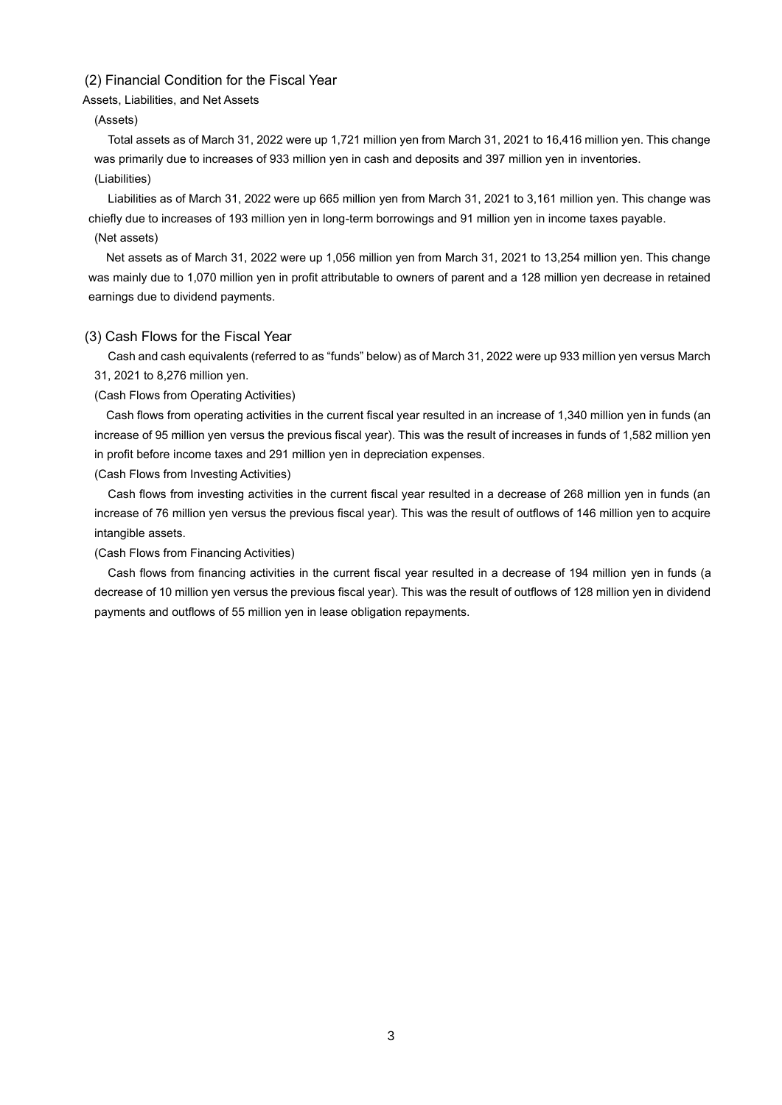## (2) Financial Condition for the Fiscal Year

Assets, Liabilities, and Net Assets

## (Assets)

Total assets as of March 31, 2022 were up 1,721 million yen from March 31, 2021 to 16,416 million yen. This change was primarily due to increases of 933 million yen in cash and deposits and 397 million yen in inventories. (Liabilities)

Liabilities as of March 31, 2022 were up 665 million yen from March 31, 2021 to 3,161 million yen. This change was chiefly due to increases of 193 million yen in long-term borrowings and 91 million yen in income taxes payable.

### (Net assets)

Net assets as of March 31, 2022 were up 1,056 million yen from March 31, 2021 to 13,254 million yen. This change was mainly due to 1,070 million yen in profit attributable to owners of parent and a 128 million yen decrease in retained earnings due to dividend payments.

### (3) Cash Flows for the Fiscal Year

Cash and cash equivalents (referred to as "funds" below) as of March 31, 2022 were up 933 million yen versus March 31, 2021 to 8,276 million yen.

## (Cash Flows from Operating Activities)

Cash flows from operating activities in the current fiscal year resulted in an increase of 1,340 million yen in funds (an increase of 95 million yen versus the previous fiscal year). This was the result of increases in funds of 1,582 million yen in profit before income taxes and 291 million yen in depreciation expenses.

(Cash Flows from Investing Activities)

Cash flows from investing activities in the current fiscal year resulted in a decrease of 268 million yen in funds (an increase of 76 million yen versus the previous fiscal year). This was the result of outflows of 146 million yen to acquire intangible assets.

(Cash Flows from Financing Activities)

Cash flows from financing activities in the current fiscal year resulted in a decrease of 194 million yen in funds (a decrease of 10 million yen versus the previous fiscal year). This was the result of outflows of 128 million yen in dividend payments and outflows of 55 million yen in lease obligation repayments.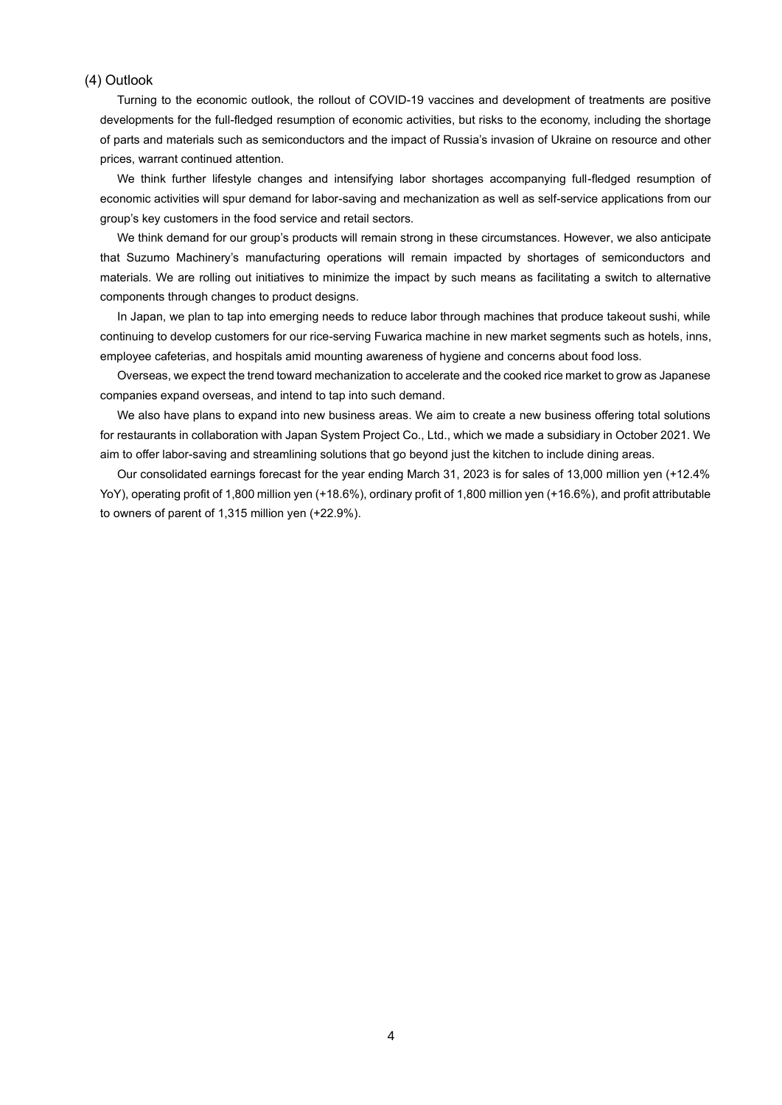### (4) Outlook

Turning to the economic outlook, the rollout of COVID-19 vaccines and development of treatments are positive developments for the full-fledged resumption of economic activities, but risks to the economy, including the shortage of parts and materials such as semiconductors and the impact of Russia's invasion of Ukraine on resource and other prices, warrant continued attention.

We think further lifestyle changes and intensifying labor shortages accompanying full-fledged resumption of economic activities will spur demand for labor-saving and mechanization as well as self-service applications from our group's key customers in the food service and retail sectors.

We think demand for our group's products will remain strong in these circumstances. However, we also anticipate that Suzumo Machinery's manufacturing operations will remain impacted by shortages of semiconductors and materials. We are rolling out initiatives to minimize the impact by such means as facilitating a switch to alternative components through changes to product designs.

In Japan, we plan to tap into emerging needs to reduce labor through machines that produce takeout sushi, while continuing to develop customers for our rice-serving Fuwarica machine in new market segments such as hotels, inns, employee cafeterias, and hospitals amid mounting awareness of hygiene and concerns about food loss.

Overseas, we expect the trend toward mechanization to accelerate and the cooked rice market to grow as Japanese companies expand overseas, and intend to tap into such demand.

We also have plans to expand into new business areas. We aim to create a new business offering total solutions for restaurants in collaboration with Japan System Project Co., Ltd., which we made a subsidiary in October 2021. We aim to offer labor-saving and streamlining solutions that go beyond just the kitchen to include dining areas.

Our consolidated earnings forecast for the year ending March 31, 2023 is for sales of 13,000 million yen (+12.4% YoY), operating profit of 1,800 million yen (+18.6%), ordinary profit of 1,800 million yen (+16.6%), and profit attributable to owners of parent of 1,315 million yen (+22.9%).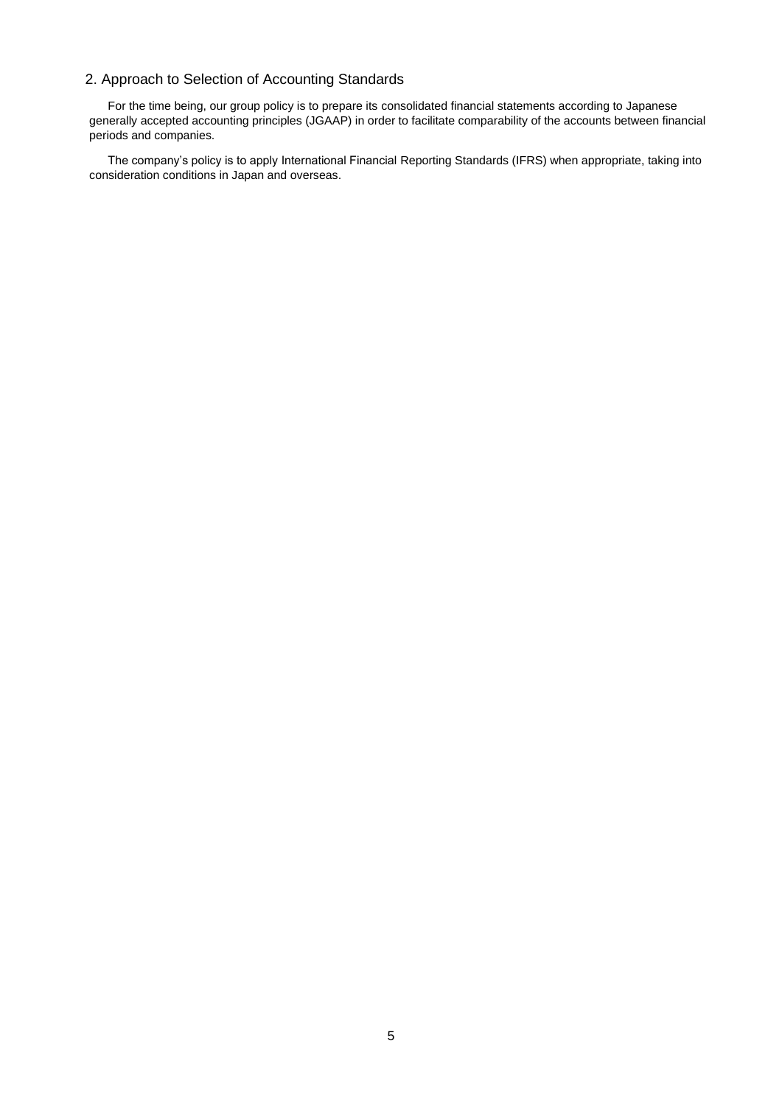# 2. Approach to Selection of Accounting Standards

For the time being, our group policy is to prepare its consolidated financial statements according to Japanese generally accepted accounting principles (JGAAP) in order to facilitate comparability of the accounts between financial periods and companies.

The company's policy is to apply International Financial Reporting Standards (IFRS) when appropriate, taking into consideration conditions in Japan and overseas.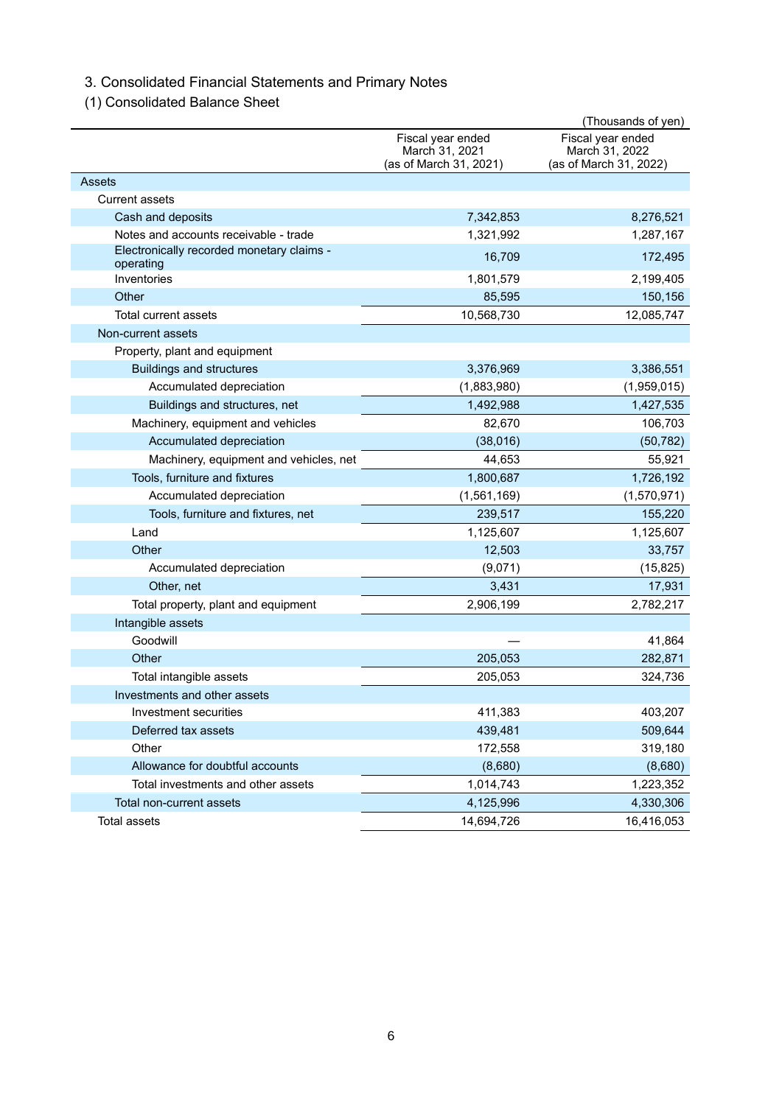# 3. Consolidated Financial Statements and Primary Notes

(1) Consolidated Balance Sheet

|                                                        |                                                               | (Thousands of yen)                                            |
|--------------------------------------------------------|---------------------------------------------------------------|---------------------------------------------------------------|
|                                                        | Fiscal year ended<br>March 31, 2021<br>(as of March 31, 2021) | Fiscal year ended<br>March 31, 2022<br>(as of March 31, 2022) |
| Assets                                                 |                                                               |                                                               |
| <b>Current assets</b>                                  |                                                               |                                                               |
| Cash and deposits                                      | 7,342,853                                                     | 8,276,521                                                     |
| Notes and accounts receivable - trade                  | 1,321,992                                                     | 1,287,167                                                     |
| Electronically recorded monetary claims -<br>operating | 16,709                                                        | 172,495                                                       |
| Inventories                                            | 1,801,579                                                     | 2,199,405                                                     |
| Other                                                  | 85,595                                                        | 150,156                                                       |
| Total current assets                                   | 10,568,730                                                    | 12,085,747                                                    |
| Non-current assets                                     |                                                               |                                                               |
| Property, plant and equipment                          |                                                               |                                                               |
| <b>Buildings and structures</b>                        | 3,376,969                                                     | 3,386,551                                                     |
| Accumulated depreciation                               | (1,883,980)                                                   | (1,959,015)                                                   |
| Buildings and structures, net                          | 1,492,988                                                     | 1,427,535                                                     |
| Machinery, equipment and vehicles                      | 82,670                                                        | 106,703                                                       |
| Accumulated depreciation                               | (38,016)                                                      | (50, 782)                                                     |
| Machinery, equipment and vehicles, net                 | 44,653                                                        | 55,921                                                        |
| Tools, furniture and fixtures                          | 1,800,687                                                     | 1,726,192                                                     |
| Accumulated depreciation                               | (1,561,169)                                                   | (1,570,971)                                                   |
| Tools, furniture and fixtures, net                     | 239,517                                                       | 155,220                                                       |
| Land                                                   | 1,125,607                                                     | 1,125,607                                                     |
| Other                                                  | 12,503                                                        | 33,757                                                        |
| Accumulated depreciation                               | (9,071)                                                       | (15, 825)                                                     |
| Other, net                                             | 3,431                                                         | 17,931                                                        |
| Total property, plant and equipment                    | 2,906,199                                                     | 2,782,217                                                     |
| Intangible assets                                      |                                                               |                                                               |
| Goodwill                                               |                                                               | 41,864                                                        |
| Other                                                  | 205,053                                                       | 282,871                                                       |
| Total intangible assets                                | 205,053                                                       | 324,736                                                       |
| Investments and other assets                           |                                                               |                                                               |
| Investment securities                                  | 411,383                                                       | 403,207                                                       |
| Deferred tax assets                                    | 439,481                                                       | 509,644                                                       |
| Other                                                  | 172,558                                                       | 319,180                                                       |
| Allowance for doubtful accounts                        | (8,680)                                                       | (8,680)                                                       |
| Total investments and other assets                     | 1,014,743                                                     | 1,223,352                                                     |
| Total non-current assets                               | 4,125,996                                                     | 4,330,306                                                     |
| Total assets                                           | 14,694,726                                                    | 16,416,053                                                    |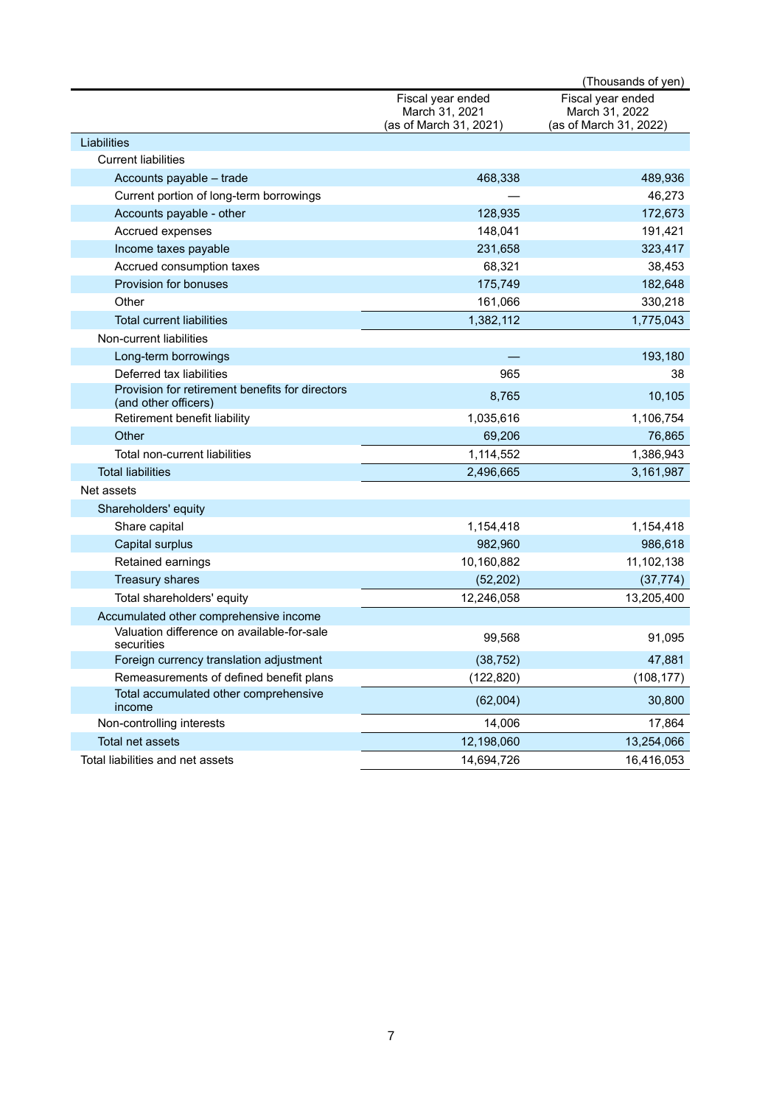|                                                                         |                                                               | (Thousands of yen)                                            |
|-------------------------------------------------------------------------|---------------------------------------------------------------|---------------------------------------------------------------|
|                                                                         | Fiscal year ended<br>March 31, 2021<br>(as of March 31, 2021) | Fiscal year ended<br>March 31, 2022<br>(as of March 31, 2022) |
| Liabilities                                                             |                                                               |                                                               |
| <b>Current liabilities</b>                                              |                                                               |                                                               |
| Accounts payable - trade                                                | 468,338                                                       | 489,936                                                       |
| Current portion of long-term borrowings                                 |                                                               | 46,273                                                        |
| Accounts payable - other                                                | 128,935                                                       | 172,673                                                       |
| Accrued expenses                                                        | 148,041                                                       | 191,421                                                       |
| Income taxes payable                                                    | 231,658                                                       | 323,417                                                       |
| Accrued consumption taxes                                               | 68,321                                                        | 38,453                                                        |
| Provision for bonuses                                                   | 175,749                                                       | 182,648                                                       |
| Other                                                                   | 161,066                                                       | 330,218                                                       |
| <b>Total current liabilities</b>                                        | 1,382,112                                                     | 1,775,043                                                     |
| Non-current liabilities                                                 |                                                               |                                                               |
| Long-term borrowings                                                    |                                                               | 193,180                                                       |
| Deferred tax liabilities                                                | 965                                                           | 38                                                            |
| Provision for retirement benefits for directors<br>(and other officers) | 8,765                                                         | 10,105                                                        |
| Retirement benefit liability                                            | 1,035,616                                                     | 1,106,754                                                     |
| Other                                                                   | 69,206                                                        | 76,865                                                        |
| Total non-current liabilities                                           | 1,114,552                                                     | 1,386,943                                                     |
| <b>Total liabilities</b>                                                | 2,496,665                                                     | 3,161,987                                                     |
| Net assets                                                              |                                                               |                                                               |
| Shareholders' equity                                                    |                                                               |                                                               |
| Share capital                                                           | 1,154,418                                                     | 1,154,418                                                     |
| Capital surplus                                                         | 982,960                                                       | 986,618                                                       |
| Retained earnings                                                       | 10,160,882                                                    | 11,102,138                                                    |
| Treasury shares                                                         | (52, 202)                                                     | (37, 774)                                                     |
| Total shareholders' equity                                              | 12,246,058                                                    | 13,205,400                                                    |
| Accumulated other comprehensive income                                  |                                                               |                                                               |
| Valuation difference on available-for-sale<br>securities                | 99,568                                                        | 91,095                                                        |
| Foreign currency translation adjustment                                 | (38, 752)                                                     | 47,881                                                        |
| Remeasurements of defined benefit plans                                 | (122, 820)                                                    | (108, 177)                                                    |
| Total accumulated other comprehensive<br>income                         | (62,004)                                                      | 30,800                                                        |
| Non-controlling interests                                               | 14,006                                                        | 17,864                                                        |
| Total net assets                                                        | 12,198,060                                                    | 13,254,066                                                    |
| Total liabilities and net assets                                        | 14,694,726                                                    | 16,416,053                                                    |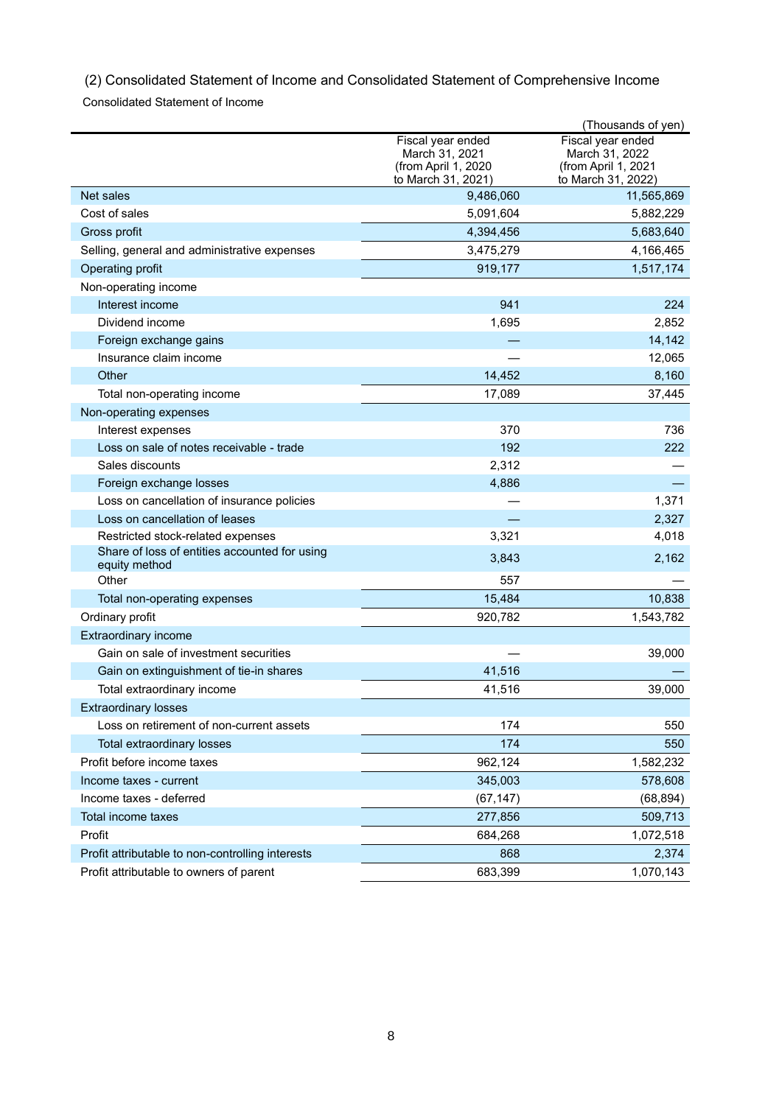(2) Consolidated Statement of Income and Consolidated Statement of Comprehensive Income

Consolidated Statement of Income

|                                                                |                                                                                  | (Thousands of yen)                                                               |
|----------------------------------------------------------------|----------------------------------------------------------------------------------|----------------------------------------------------------------------------------|
|                                                                | Fiscal year ended<br>March 31, 2021<br>(from April 1, 2020<br>to March 31, 2021) | Fiscal year ended<br>March 31, 2022<br>(from April 1, 2021<br>to March 31, 2022) |
| Net sales                                                      | 9,486,060                                                                        | 11,565,869                                                                       |
| Cost of sales                                                  | 5,091,604                                                                        | 5,882,229                                                                        |
| Gross profit                                                   | 4,394,456                                                                        | 5,683,640                                                                        |
| Selling, general and administrative expenses                   | 3,475,279                                                                        | 4,166,465                                                                        |
| Operating profit                                               | 919,177                                                                          | 1,517,174                                                                        |
| Non-operating income                                           |                                                                                  |                                                                                  |
| Interest income                                                | 941                                                                              | 224                                                                              |
| Dividend income                                                | 1,695                                                                            | 2,852                                                                            |
| Foreign exchange gains                                         |                                                                                  | 14,142                                                                           |
| Insurance claim income                                         |                                                                                  | 12,065                                                                           |
| Other                                                          | 14,452                                                                           | 8,160                                                                            |
| Total non-operating income                                     | 17,089                                                                           | 37,445                                                                           |
| Non-operating expenses                                         |                                                                                  |                                                                                  |
| Interest expenses                                              | 370                                                                              | 736                                                                              |
| Loss on sale of notes receivable - trade                       | 192                                                                              | 222                                                                              |
| Sales discounts                                                | 2,312                                                                            |                                                                                  |
| Foreign exchange losses                                        | 4,886                                                                            |                                                                                  |
| Loss on cancellation of insurance policies                     |                                                                                  | 1,371                                                                            |
| Loss on cancellation of leases                                 |                                                                                  | 2,327                                                                            |
| Restricted stock-related expenses                              | 3,321                                                                            | 4,018                                                                            |
| Share of loss of entities accounted for using<br>equity method | 3,843                                                                            | 2,162                                                                            |
| Other                                                          | 557                                                                              |                                                                                  |
| Total non-operating expenses                                   | 15,484                                                                           | 10,838                                                                           |
| Ordinary profit                                                | 920,782                                                                          | 1,543,782                                                                        |
| <b>Extraordinary income</b>                                    |                                                                                  |                                                                                  |
| Gain on sale of investment securities                          |                                                                                  | 39,000                                                                           |
| Gain on extinguishment of tie-in shares                        | 41,516                                                                           |                                                                                  |
| Total extraordinary income                                     | 41,516                                                                           | 39,000                                                                           |
| <b>Extraordinary losses</b>                                    |                                                                                  |                                                                                  |
| Loss on retirement of non-current assets                       | 174                                                                              | 550                                                                              |
| Total extraordinary losses                                     | 174                                                                              | 550                                                                              |
| Profit before income taxes                                     | 962,124                                                                          | 1,582,232                                                                        |
| Income taxes - current                                         | 345,003                                                                          | 578,608                                                                          |
| Income taxes - deferred                                        | (67, 147)                                                                        | (68, 894)                                                                        |
| Total income taxes                                             | 277,856                                                                          | 509,713                                                                          |
| Profit                                                         | 684,268                                                                          | 1,072,518                                                                        |
| Profit attributable to non-controlling interests               | 868                                                                              | 2,374                                                                            |
| Profit attributable to owners of parent                        | 683,399                                                                          | 1,070,143                                                                        |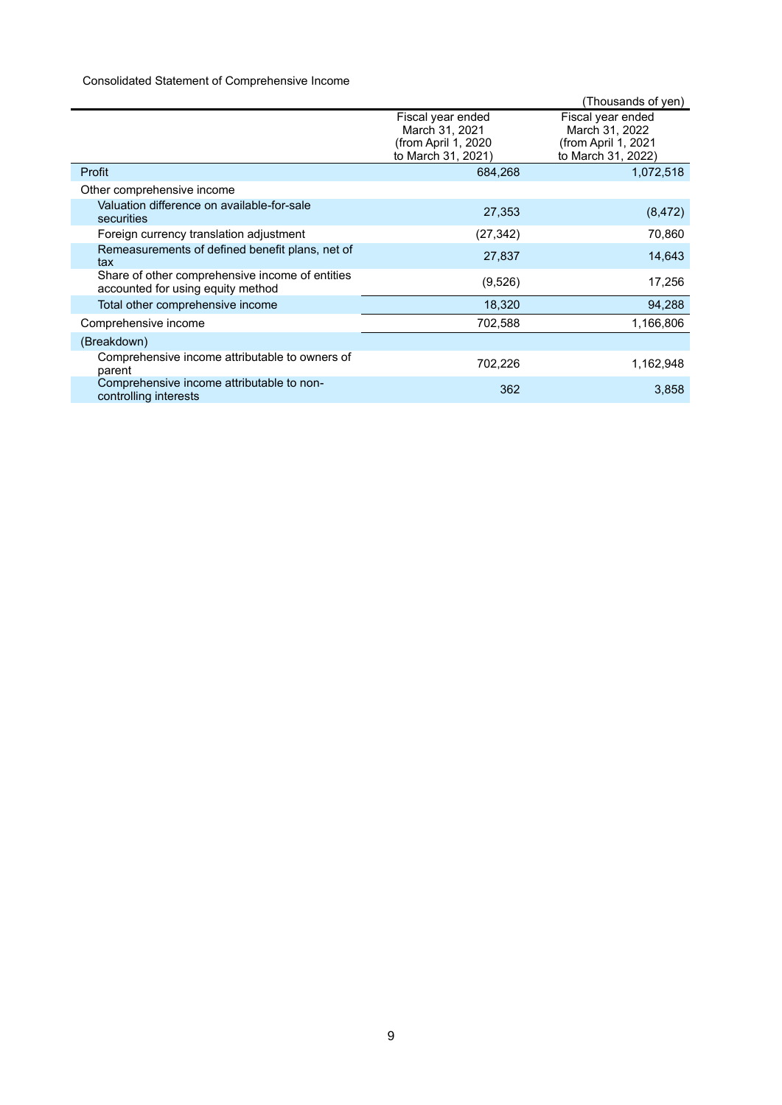# Consolidated Statement of Comprehensive Income

|                                                                                      |                                                                                  | (Thousands of yen)                                                               |
|--------------------------------------------------------------------------------------|----------------------------------------------------------------------------------|----------------------------------------------------------------------------------|
|                                                                                      | Fiscal year ended<br>March 31, 2021<br>(from April 1, 2020<br>to March 31, 2021) | Fiscal year ended<br>March 31, 2022<br>(from April 1, 2021<br>to March 31, 2022) |
| Profit                                                                               | 684,268                                                                          | 1,072,518                                                                        |
| Other comprehensive income                                                           |                                                                                  |                                                                                  |
| Valuation difference on available-for-sale<br>securities                             | 27,353                                                                           | (8, 472)                                                                         |
| Foreign currency translation adjustment                                              | (27, 342)                                                                        | 70,860                                                                           |
| Remeasurements of defined benefit plans, net of<br>tax                               | 27,837                                                                           | 14,643                                                                           |
| Share of other comprehensive income of entities<br>accounted for using equity method | (9,526)                                                                          | 17,256                                                                           |
| Total other comprehensive income                                                     | 18,320                                                                           | 94,288                                                                           |
| Comprehensive income                                                                 | 702,588                                                                          | 1,166,806                                                                        |
| (Breakdown)                                                                          |                                                                                  |                                                                                  |
| Comprehensive income attributable to owners of<br>parent                             | 702,226                                                                          | 1,162,948                                                                        |
| Comprehensive income attributable to non-<br>controlling interests                   | 362                                                                              | 3,858                                                                            |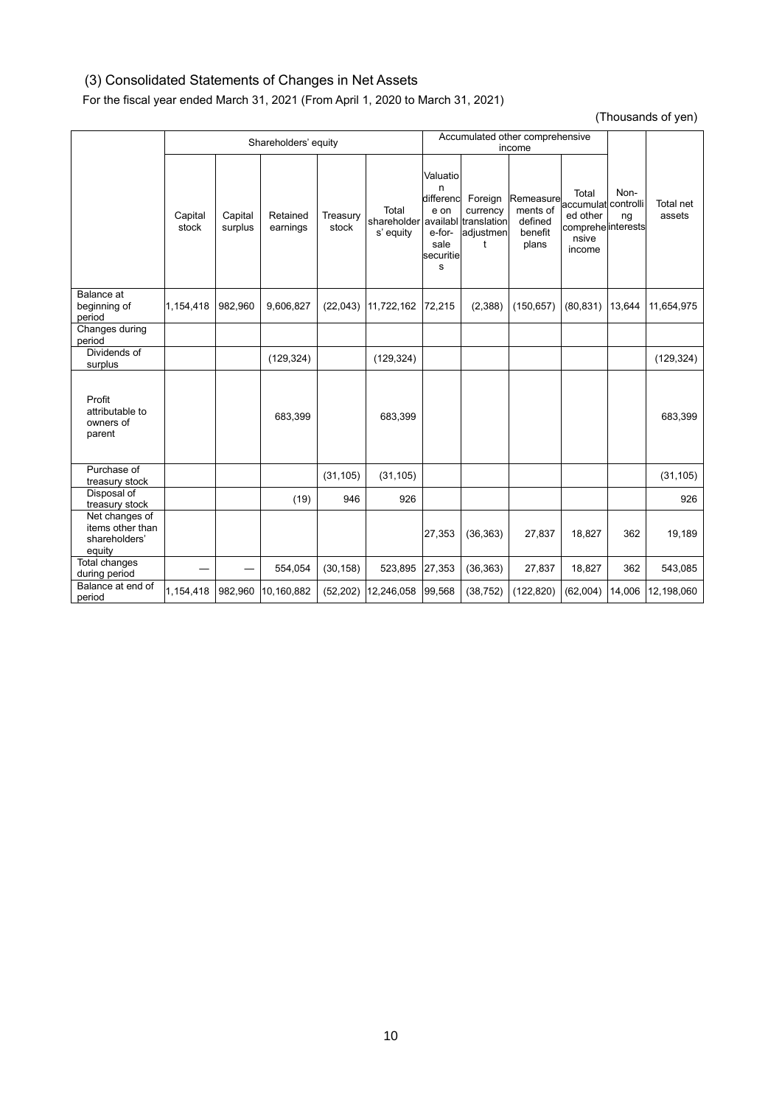# (3) Consolidated Statements of Changes in Net Assets

For the fiscal year ended March 31, 2021 (From April 1, 2020 to March 31, 2021)

(Thousands of yen)

|                                                               |                  |                    | Shareholders' equity |                   |                                   | Accumulated other comprehensive<br>income                              |                                                                          |                                                      |                                                                                   |            |                     |
|---------------------------------------------------------------|------------------|--------------------|----------------------|-------------------|-----------------------------------|------------------------------------------------------------------------|--------------------------------------------------------------------------|------------------------------------------------------|-----------------------------------------------------------------------------------|------------|---------------------|
|                                                               | Capital<br>stock | Capital<br>surplus | Retained<br>earnings | Treasury<br>stock | Total<br>shareholder<br>s' equity | Valuatio<br>n<br>differenc<br>e on<br>e-for-<br>sale<br>securitie<br>s | Foreign<br>currency<br>availabl translation<br>adjustmen<br>$^{\dagger}$ | Remeasure<br>ments of<br>defined<br>benefit<br>plans | Total<br>accumulat controlli<br>ed other<br>comprehe interests<br>nsive<br>income | Non-<br>ng | Total net<br>assets |
| Balance at<br>beginning of<br>period                          | 1,154,418        | 982,960            | 9,606,827            | (22, 043)         | 11,722,162                        | 72,215                                                                 | (2,388)                                                                  | (150, 657)                                           | (80, 831)                                                                         | 13,644     | 11,654,975          |
| Changes during<br>period                                      |                  |                    |                      |                   |                                   |                                                                        |                                                                          |                                                      |                                                                                   |            |                     |
| Dividends of<br>surplus                                       |                  |                    | (129, 324)           |                   | (129, 324)                        |                                                                        |                                                                          |                                                      |                                                                                   |            | (129, 324)          |
| Profit<br>attributable to<br>owners of<br>parent              |                  |                    | 683,399              |                   | 683,399                           |                                                                        |                                                                          |                                                      |                                                                                   |            | 683,399             |
| Purchase of<br>treasury stock                                 |                  |                    |                      | (31, 105)         | (31, 105)                         |                                                                        |                                                                          |                                                      |                                                                                   |            | (31, 105)           |
| Disposal of<br>treasury stock                                 |                  |                    | (19)                 | 946               | 926                               |                                                                        |                                                                          |                                                      |                                                                                   |            | 926                 |
| Net changes of<br>items other than<br>shareholders'<br>equity |                  |                    |                      |                   |                                   | 27,353                                                                 | (36, 363)                                                                | 27,837                                               | 18.827                                                                            | 362        | 19,189              |
| Total changes<br>during period                                |                  |                    | 554,054              | (30, 158)         | 523,895                           | 27,353                                                                 | (36, 363)                                                                | 27,837                                               | 18,827                                                                            | 362        | 543,085             |
| Balance at end of<br>period                                   | 1,154,418        | 982,960            | 10,160,882           | (52, 202)         | 12,246,058                        | 99,568                                                                 | (38, 752)                                                                | (122, 820)                                           | (62,004)                                                                          | 14,006     | 12,198,060          |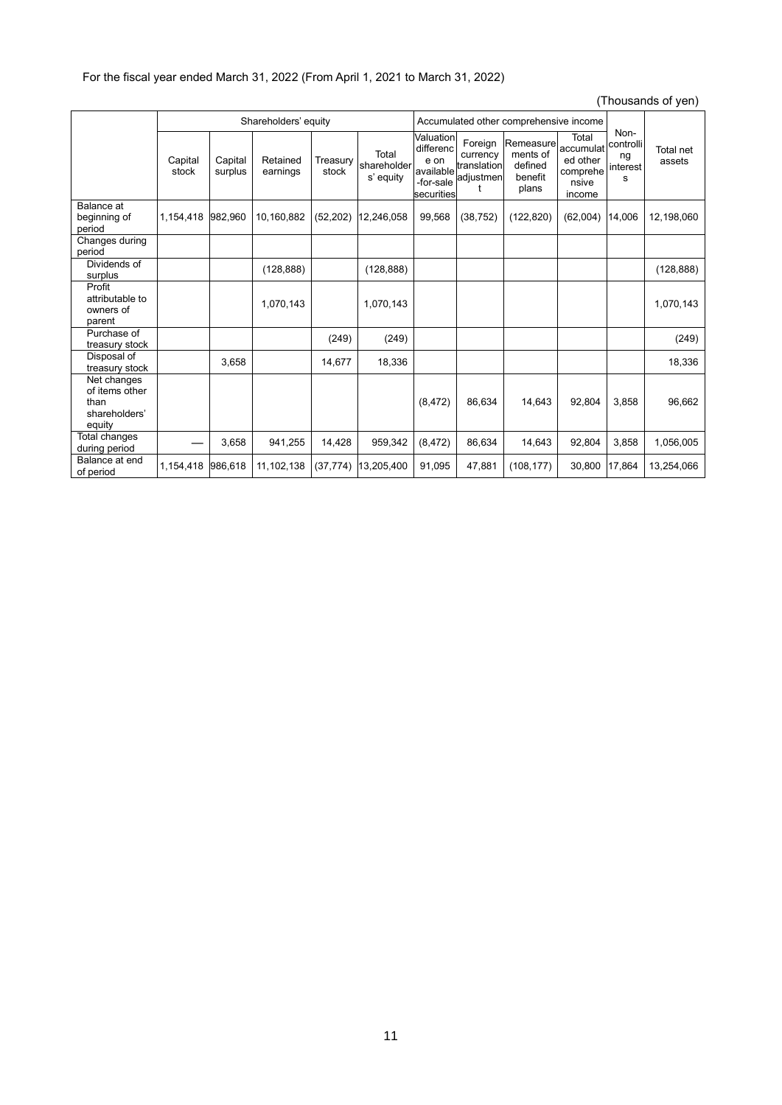# (Thousands of yen)

|                                                                  | Shareholders' equity |                    |                      | Accumulated other comprehensive income |                                   |                                                                        |                                                      |                                                      |                                                               |                                          |                     |
|------------------------------------------------------------------|----------------------|--------------------|----------------------|----------------------------------------|-----------------------------------|------------------------------------------------------------------------|------------------------------------------------------|------------------------------------------------------|---------------------------------------------------------------|------------------------------------------|---------------------|
|                                                                  | Capital<br>stock     | Capital<br>surplus | Retained<br>earnings | Treasury<br>stock                      | Total<br>shareholder<br>s' equity | Valuation<br>differenc<br>e on<br>available<br>-for-sale<br>securities | Foreign<br>currency<br>translation<br>adjustmen<br>t | Remeasure<br>ments of<br>defined<br>benefit<br>plans | Total<br>accumulat<br>ed other<br>comprehe<br>nsive<br>income | Non-<br>controlli<br>ng<br>interest<br>s | Total net<br>assets |
| Balance at<br>beginning of<br>period                             | 1,154,418            | 982,960            | 10,160,882           | (52, 202)                              | 12,246,058                        | 99,568                                                                 | (38, 752)                                            | (122, 820)                                           | (62,004)                                                      | 14,006                                   | 12,198,060          |
| Changes during<br>period                                         |                      |                    |                      |                                        |                                   |                                                                        |                                                      |                                                      |                                                               |                                          |                     |
| Dividends of<br>surplus                                          |                      |                    | (128, 888)           |                                        | (128, 888)                        |                                                                        |                                                      |                                                      |                                                               |                                          | (128, 888)          |
| Profit<br>attributable to<br>owners of<br>parent                 |                      |                    | 1.070.143            |                                        | 1.070.143                         |                                                                        |                                                      |                                                      |                                                               |                                          | 1.070.143           |
| Purchase of<br>treasury stock                                    |                      |                    |                      | (249)                                  | (249)                             |                                                                        |                                                      |                                                      |                                                               |                                          | (249)               |
| Disposal of<br>treasury stock                                    |                      | 3,658              |                      | 14,677                                 | 18,336                            |                                                                        |                                                      |                                                      |                                                               |                                          | 18,336              |
| Net changes<br>of items other<br>than<br>shareholders'<br>equity |                      |                    |                      |                                        |                                   | (8, 472)                                                               | 86,634                                               | 14,643                                               | 92,804                                                        | 3,858                                    | 96,662              |
| Total changes<br>during period                                   |                      | 3,658              | 941,255              | 14,428                                 | 959,342                           | (8, 472)                                                               | 86,634                                               | 14,643                                               | 92,804                                                        | 3,858                                    | 1,056,005           |
| Balance at end<br>of period                                      | 1,154,418            | 986,618            | 11,102,138           | (37, 774)                              | 13,205,400                        | 91,095                                                                 | 47,881                                               | (108, 177)                                           | 30,800                                                        | 17,864                                   | 13,254,066          |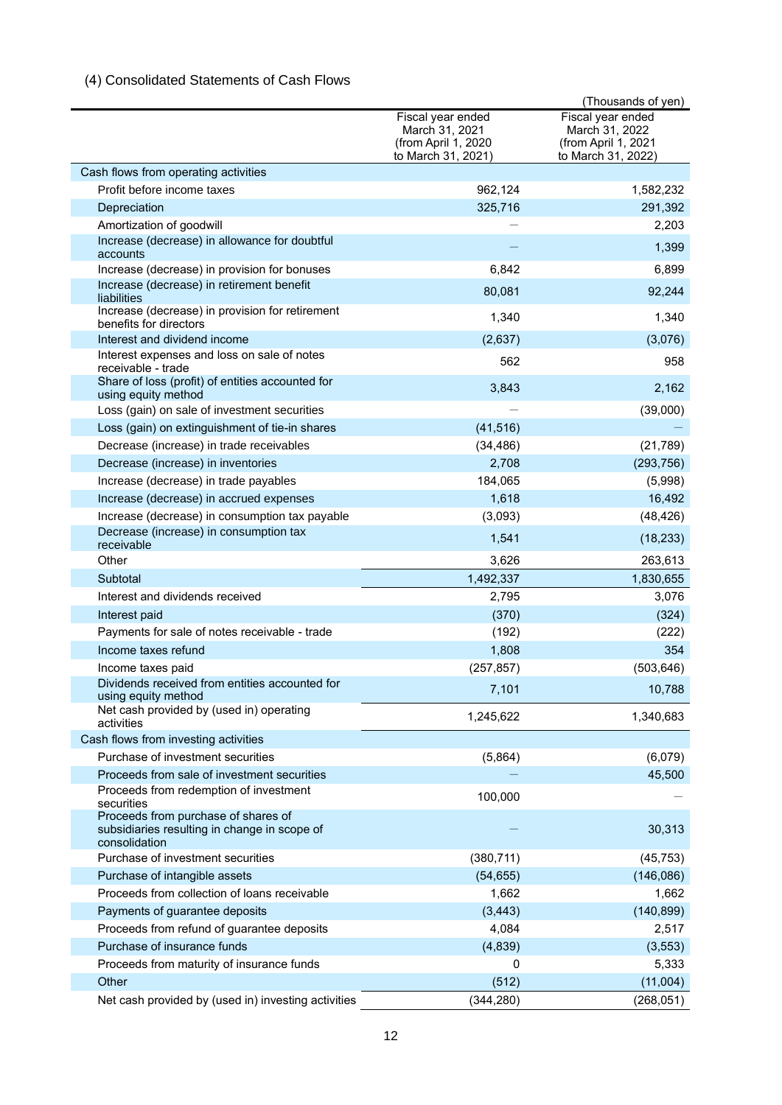# (4) Consolidated Statements of Cash Flows

|                                                                                                                    |                                                                                  | (Thousands of yen)                                                               |
|--------------------------------------------------------------------------------------------------------------------|----------------------------------------------------------------------------------|----------------------------------------------------------------------------------|
|                                                                                                                    | Fiscal year ended<br>March 31, 2021<br>(from April 1, 2020<br>to March 31, 2021) | Fiscal year ended<br>March 31, 2022<br>(from April 1, 2021<br>to March 31, 2022) |
| Cash flows from operating activities                                                                               |                                                                                  |                                                                                  |
| Profit before income taxes                                                                                         | 962,124                                                                          | 1,582,232                                                                        |
| Depreciation                                                                                                       | 325,716                                                                          | 291,392                                                                          |
| Amortization of goodwill                                                                                           |                                                                                  | 2,203                                                                            |
| Increase (decrease) in allowance for doubtful<br>accounts                                                          |                                                                                  | 1,399                                                                            |
| Increase (decrease) in provision for bonuses                                                                       | 6,842                                                                            | 6,899                                                                            |
| Increase (decrease) in retirement benefit<br>liabilities                                                           | 80,081                                                                           | 92,244                                                                           |
| Increase (decrease) in provision for retirement<br>benefits for directors                                          | 1,340                                                                            | 1,340                                                                            |
| Interest and dividend income                                                                                       | (2,637)                                                                          | (3,076)                                                                          |
| Interest expenses and loss on sale of notes<br>receivable - trade                                                  | 562                                                                              | 958                                                                              |
| Share of loss (profit) of entities accounted for<br>using equity method                                            | 3,843                                                                            | 2,162                                                                            |
| Loss (gain) on sale of investment securities                                                                       |                                                                                  | (39,000)                                                                         |
| Loss (gain) on extinguishment of tie-in shares                                                                     | (41, 516)                                                                        |                                                                                  |
| Decrease (increase) in trade receivables                                                                           | (34, 486)                                                                        | (21, 789)                                                                        |
| Decrease (increase) in inventories                                                                                 | 2,708                                                                            | (293, 756)                                                                       |
| Increase (decrease) in trade payables                                                                              | 184,065                                                                          | (5,998)                                                                          |
| Increase (decrease) in accrued expenses                                                                            | 1,618                                                                            | 16,492                                                                           |
| Increase (decrease) in consumption tax payable                                                                     | (3,093)                                                                          | (48, 426)                                                                        |
| Decrease (increase) in consumption tax<br>receivable                                                               | 1,541                                                                            | (18, 233)                                                                        |
| Other                                                                                                              | 3,626                                                                            | 263,613                                                                          |
| Subtotal                                                                                                           | 1,492,337                                                                        | 1,830,655                                                                        |
| Interest and dividends received                                                                                    | 2,795                                                                            | 3,076                                                                            |
| Interest paid                                                                                                      | (370)                                                                            | (324)                                                                            |
| Payments for sale of notes receivable - trade                                                                      | (192)                                                                            | (222)                                                                            |
| Income taxes refund                                                                                                | 1,808                                                                            | 354                                                                              |
| Income taxes paid                                                                                                  | (257, 857)                                                                       | (503, 646)                                                                       |
| Dividends received from entities accounted for<br>using equity method                                              | 7,101                                                                            | 10,788                                                                           |
| Net cash provided by (used in) operating<br>activities                                                             | 1,245,622                                                                        | 1,340,683                                                                        |
| Cash flows from investing activities                                                                               |                                                                                  |                                                                                  |
| Purchase of investment securities                                                                                  | (5,864)                                                                          | (6,079)                                                                          |
| Proceeds from sale of investment securities<br>Proceeds from redemption of investment                              | 100,000                                                                          | 45,500                                                                           |
| securities<br>Proceeds from purchase of shares of<br>subsidiaries resulting in change in scope of<br>consolidation |                                                                                  | 30,313                                                                           |
| Purchase of investment securities                                                                                  | (380, 711)                                                                       | (45, 753)                                                                        |
| Purchase of intangible assets                                                                                      | (54, 655)                                                                        | (146, 086)                                                                       |
| Proceeds from collection of loans receivable                                                                       | 1,662                                                                            | 1,662                                                                            |
| Payments of guarantee deposits                                                                                     | (3, 443)                                                                         | (140, 899)                                                                       |
| Proceeds from refund of guarantee deposits                                                                         | 4,084                                                                            | 2,517                                                                            |
| Purchase of insurance funds                                                                                        | (4, 839)                                                                         | (3, 553)                                                                         |
| Proceeds from maturity of insurance funds                                                                          | 0                                                                                | 5,333                                                                            |
| Other                                                                                                              | (512)                                                                            | (11,004)                                                                         |
| Net cash provided by (used in) investing activities                                                                | (344, 280)                                                                       | (268, 051)                                                                       |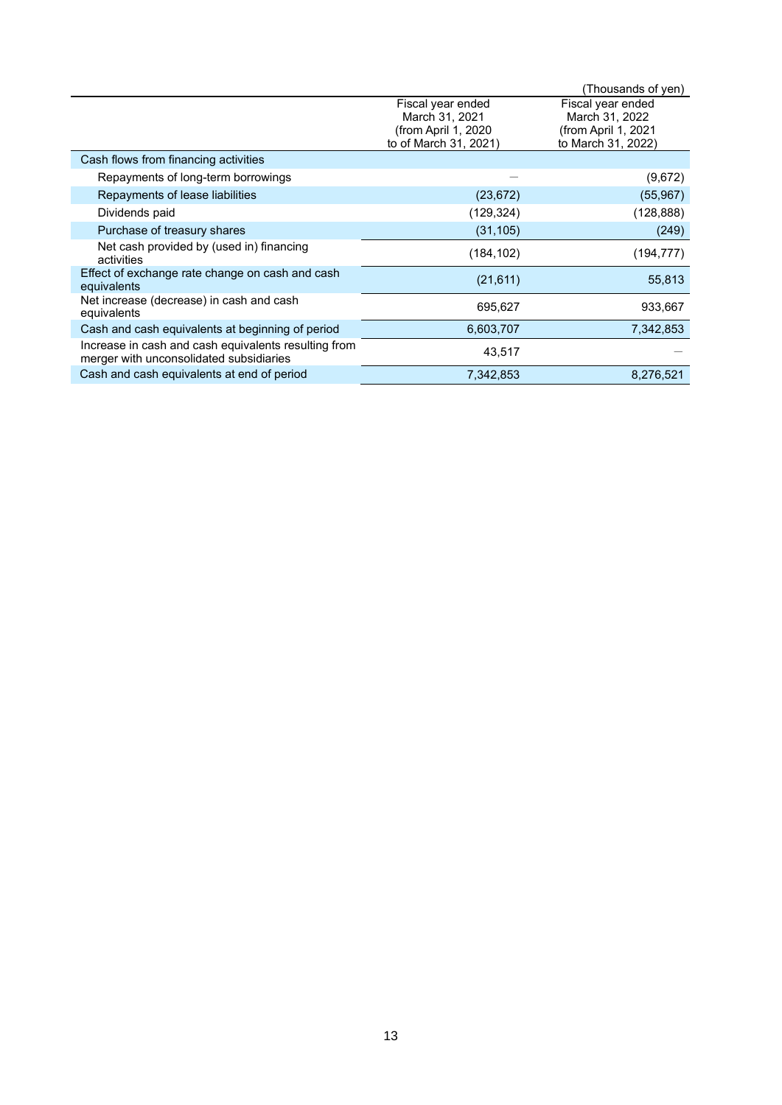|                                                                                                 |                                                                                     | (Thousands of yen)                                                               |
|-------------------------------------------------------------------------------------------------|-------------------------------------------------------------------------------------|----------------------------------------------------------------------------------|
|                                                                                                 | Fiscal year ended<br>March 31, 2021<br>(from April 1, 2020<br>to of March 31, 2021) | Fiscal year ended<br>March 31, 2022<br>(from April 1, 2021<br>to March 31, 2022) |
| Cash flows from financing activities                                                            |                                                                                     |                                                                                  |
| Repayments of long-term borrowings                                                              |                                                                                     | (9,672)                                                                          |
| Repayments of lease liabilities                                                                 | (23, 672)                                                                           | (55, 967)                                                                        |
| Dividends paid                                                                                  | (129, 324)                                                                          | (128, 888)                                                                       |
| Purchase of treasury shares                                                                     | (31, 105)                                                                           | (249)                                                                            |
| Net cash provided by (used in) financing<br>activities                                          | (184, 102)                                                                          | (194, 777)                                                                       |
| Effect of exchange rate change on cash and cash<br>equivalents                                  | (21, 611)                                                                           | 55,813                                                                           |
| Net increase (decrease) in cash and cash<br>equivalents                                         | 695,627                                                                             | 933,667                                                                          |
| Cash and cash equivalents at beginning of period                                                | 6,603,707                                                                           | 7,342,853                                                                        |
| Increase in cash and cash equivalents resulting from<br>merger with unconsolidated subsidiaries | 43,517                                                                              |                                                                                  |
| Cash and cash equivalents at end of period                                                      | 7.342.853                                                                           | 8,276,521                                                                        |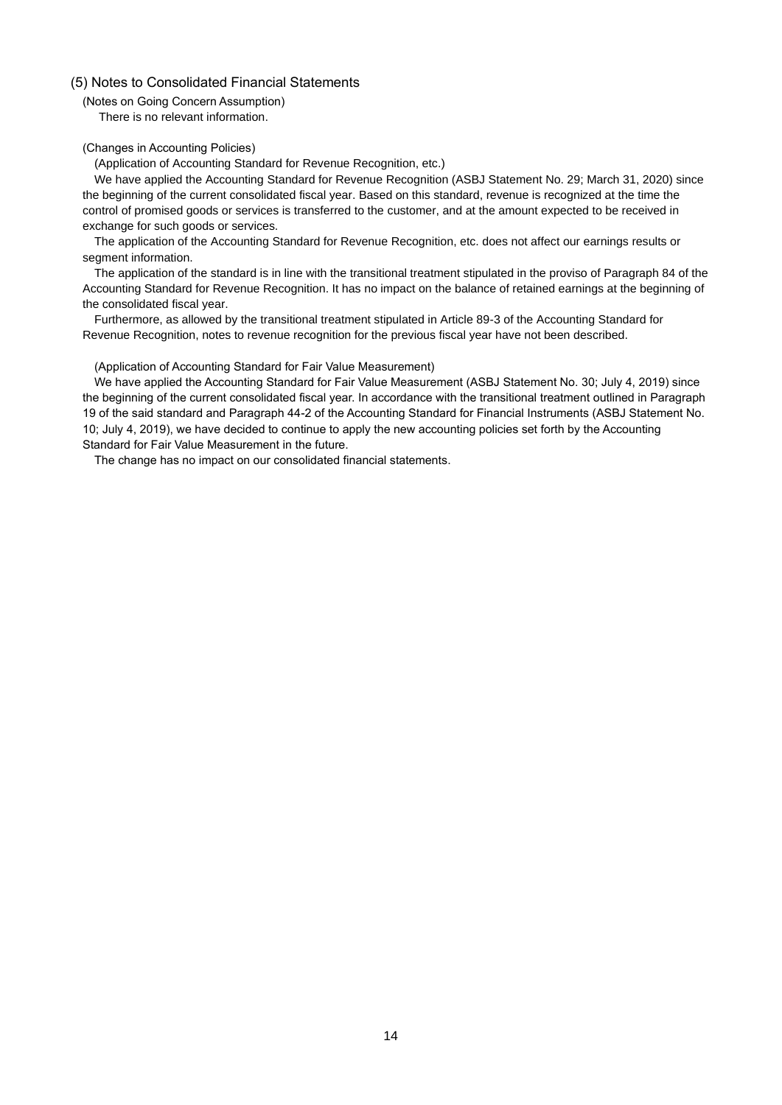## (5) Notes to Consolidated Financial Statements

(Notes on Going Concern Assumption) There is no relevant information.

## (Changes in Accounting Policies)

(Application of Accounting Standard for Revenue Recognition, etc.)

We have applied the Accounting Standard for Revenue Recognition (ASBJ Statement No. 29; March 31, 2020) since the beginning of the current consolidated fiscal year. Based on this standard, revenue is recognized at the time the control of promised goods or services is transferred to the customer, and at the amount expected to be received in exchange for such goods or services.

The application of the Accounting Standard for Revenue Recognition, etc. does not affect our earnings results or segment information.

The application of the standard is in line with the transitional treatment stipulated in the proviso of Paragraph 84 of the Accounting Standard for Revenue Recognition. It has no impact on the balance of retained earnings at the beginning of the consolidated fiscal year.

Furthermore, as allowed by the transitional treatment stipulated in Article 89-3 of the Accounting Standard for Revenue Recognition, notes to revenue recognition for the previous fiscal year have not been described.

(Application of Accounting Standard for Fair Value Measurement)

We have applied the Accounting Standard for Fair Value Measurement (ASBJ Statement No. 30; July 4, 2019) since the beginning of the current consolidated fiscal year. In accordance with the transitional treatment outlined in Paragraph 19 of the said standard and Paragraph 44-2 of the Accounting Standard for Financial Instruments (ASBJ Statement No. 10; July 4, 2019), we have decided to continue to apply the new accounting policies set forth by the Accounting Standard for Fair Value Measurement in the future.

The change has no impact on our consolidated financial statements.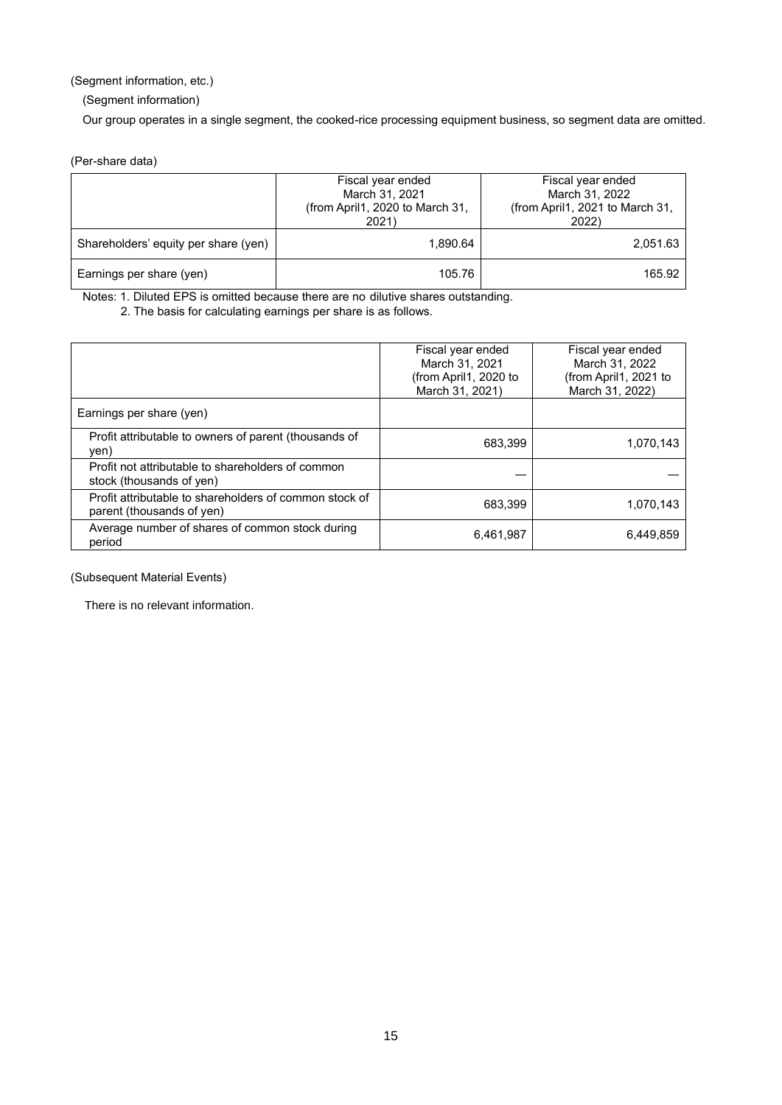(Segment information, etc.)

(Segment information)

Our group operates in a single segment, the cooked-rice processing equipment business, so segment data are omitted.

(Per-share data)

|                                      | Fiscal year ended<br>March 31, 2021<br>(from April1, 2020 to March 31,<br>2021) | Fiscal year ended<br>March 31, 2022<br>(from April1, 2021 to March 31,<br>2022) |  |  |
|--------------------------------------|---------------------------------------------------------------------------------|---------------------------------------------------------------------------------|--|--|
| Shareholders' equity per share (yen) | 1.890.64                                                                        | 2,051.63                                                                        |  |  |
| Earnings per share (yen)             | 105.76                                                                          | 165.92                                                                          |  |  |

Notes: 1. Diluted EPS is omitted because there are no dilutive shares outstanding. 2. The basis for calculating earnings per share is as follows.

Fiscal year ended March 31, 2021 (from April1, 2020 to March 31, 2021) Fiscal year ended March 31, 2022 (from April1, 2021 to March 31, 2022) Earnings per share (yen) Profit attributable to owners of parent (thousands of yen) 683,399 1,070,143 Profit not attributable to shareholders of common stock (thousands of yen) Profit attributable to shareholders of common stock of parent (thousands of yen) by the parent (thousands of yen) by the parent (thousands of yen) Average number of shares of common stock during 6,461,987 6,449,859<br>period

(Subsequent Material Events)

There is no relevant information.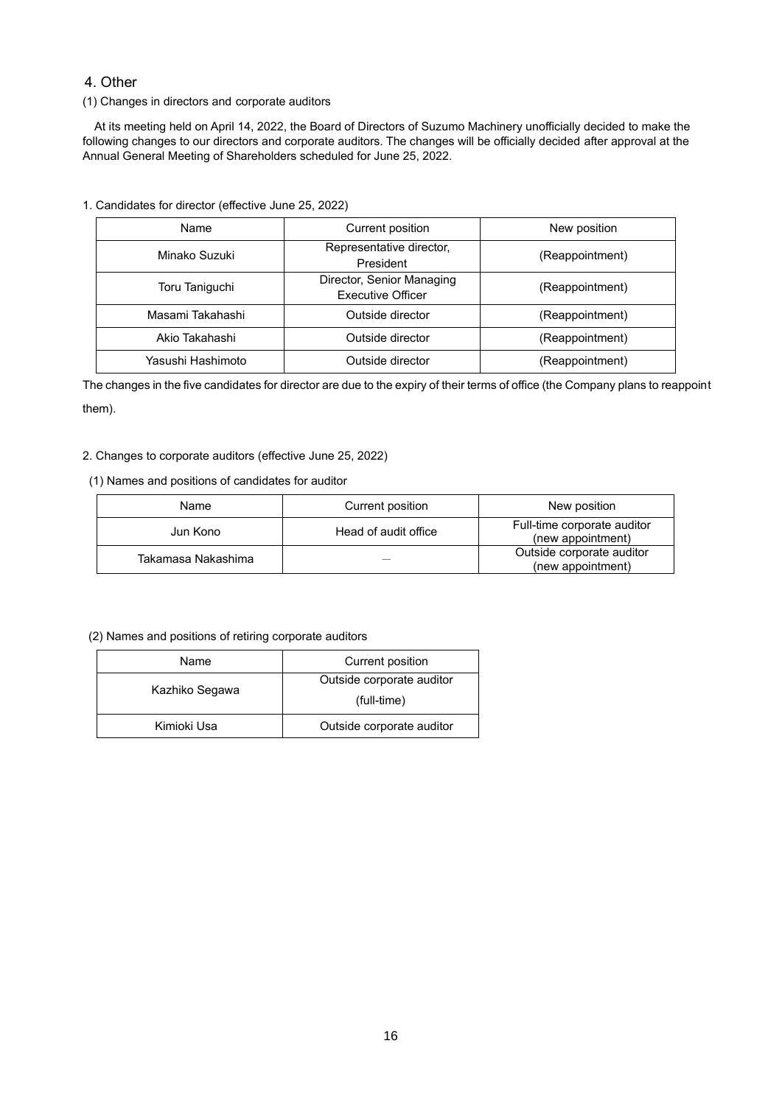# 4. Other

(1) Changes in directors and corporate auditors

At its meeting held on April 14, 2022, the Board of Directors of Suzumo Machinery unofficially decided to make the following changes to our directors and corporate auditors. The changes will be officially decided after approval at the Annual General Meeting of Shareholders scheduled for June 25, 2022.

1. Candidates for director (effective June 25, 2022)

| Name              | Current position                                      | New position    |
|-------------------|-------------------------------------------------------|-----------------|
| Minako Suzuki     | Representative director,<br>President                 | (Reappointment) |
| Toru Taniguchi    | Director, Senior Managing<br><b>Executive Officer</b> | (Reappointment) |
| Masami Takahashi  | Outside director                                      | (Reappointment) |
| Akio Takahashi    | Outside director                                      | (Reappointment) |
| Yasushi Hashimoto | Outside director                                      | (Reappointment) |

The changes in the five candidates for director are due to the expiry of their terms of office (the Company plans to reappoint them).

## 2. Changes to corporate auditors (effective June 25, 2022)

## (1) Names and positions of candidates for auditor

| Name               | Current position     | New position                                     |
|--------------------|----------------------|--------------------------------------------------|
| Jun Kono           | Head of audit office | Full-time corporate auditor<br>(new appointment) |
| Takamasa Nakashima |                      | Outside corporate auditor<br>(new appointment)   |

### (2) Names and positions of retiring corporate auditors

| Name           | Current position          |
|----------------|---------------------------|
| Kazhiko Segawa | Outside corporate auditor |
|                | (full-time)               |
| Kimioki Usa    | Outside corporate auditor |